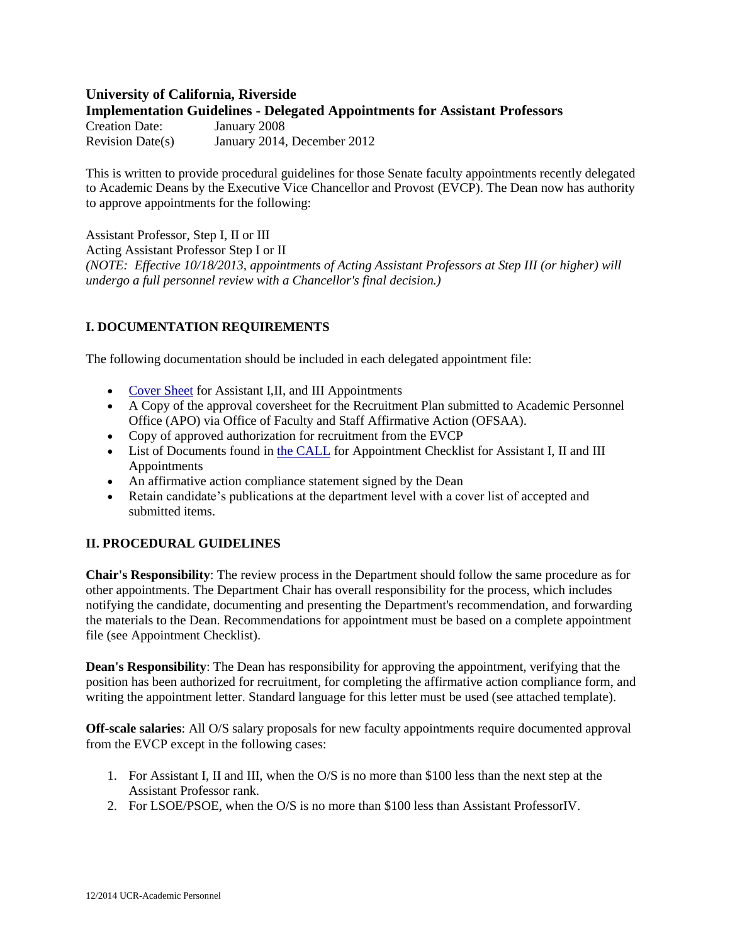# **University of California, Riverside Implementation Guidelines - Delegated Appointments for Assistant Professors**

| Creation Date:          | January 2008                |
|-------------------------|-----------------------------|
| <b>Revision Date(s)</b> | January 2014, December 2012 |

This is written to provide procedural guidelines for those Senate faculty appointments recently delegated to Academic Deans by the Executive Vice Chancellor and Provost (EVCP). The Dean now has authority to approve appointments for the following:

Assistant Professor, Step I, II or III Acting Assistant Professor Step I or II *(NOTE: Effective 10/18/2013, appointments of Acting Assistant Professors at Step III (or higher) will undergo a full personnel review with a Chancellor's final decision.)* 

# **I. DOCUMENTATION REQUIREMENTS**

The following documentation should be included in each delegated appointment file:

- [Cover Sheet](http://academicpersonnel.ucr.edu/appointment/CoverSheetForLadderRankAppointments.pdf) for Assistant I, II, and III Appointments
- A Copy of the approval coversheet for the Recruitment Plan submitted to Academic Personnel Office (APO) via Office of Faculty and Staff Affirmative Action (OFSAA).
- Copy of approved authorization for recruitment from the EVCP
- List of Documents found in [the CALL](http://academicpersonnel.ucr.edu/the_call/) for Appointment Checklist for Assistant I, II and III Appointments
- An affirmative action compliance statement signed by the Dean
- Retain candidate's publications at the department level with a cover list of accepted and submitted items.

## **II. PROCEDURAL GUIDELINES**

**Chair's Responsibility**: The review process in the Department should follow the same procedure as for other appointments. The Department Chair has overall responsibility for the process, which includes notifying the candidate, documenting and presenting the Department's recommendation, and forwarding the materials to the Dean. Recommendations for appointment must be based on a complete appointment file (see Appointment Checklist).

**Dean's Responsibility**: The Dean has responsibility for approving the appointment, verifying that the position has been authorized for recruitment, for completing the affirmative action compliance form, and writing the appointment letter. Standard language for this letter must be used (see attached template).

**Off-scale salaries**: All O/S salary proposals for new faculty appointments require documented approval from the EVCP except in the following cases:

- 1. For Assistant I, II and III, when the O/S is no more than \$100 less than the next step at the Assistant Professor rank.
- 2. For LSOE/PSOE, when the O/S is no more than \$100 less than Assistant ProfessorIV.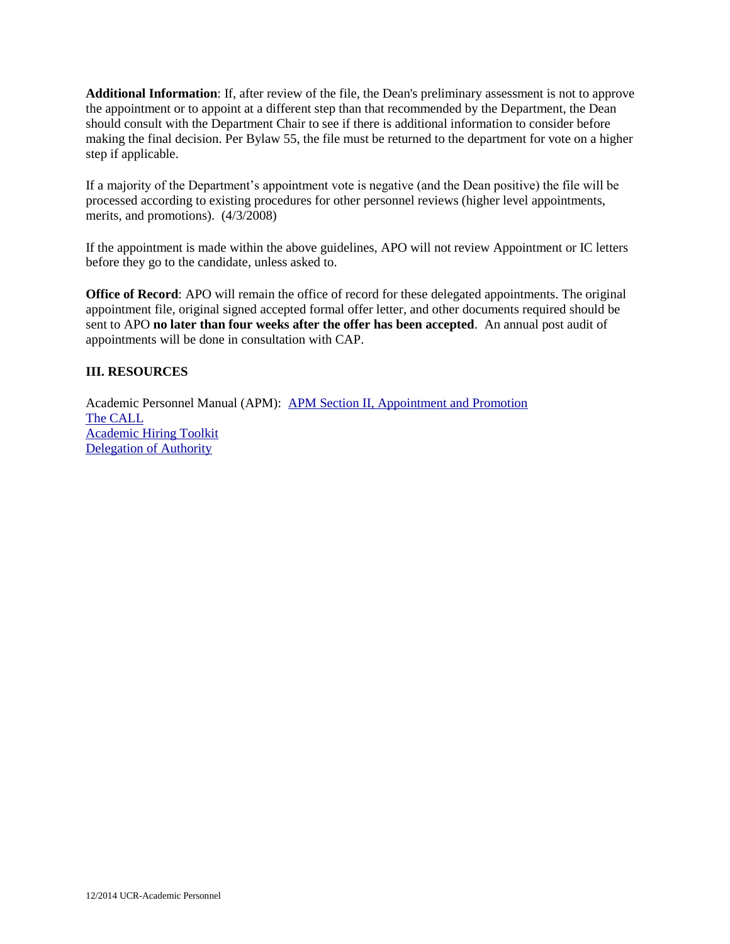**Additional Information**: If, after review of the file, the Dean's preliminary assessment is not to approve the appointment or to appoint at a different step than that recommended by the Department, the Dean should consult with the Department Chair to see if there is additional information to consider before making the final decision. Per Bylaw 55, the file must be returned to the department for vote on a higher step if applicable.

If a majority of the Department's appointment vote is negative (and the Dean positive) the file will be processed according to existing procedures for other personnel reviews (higher level appointments, merits, and promotions). (4/3/2008)

If the appointment is made within the above guidelines, APO will not review Appointment or IC letters before they go to the candidate, unless asked to.

**Office of Record**: APO will remain the office of record for these delegated appointments. The original appointment file, original signed accepted formal offer letter, and other documents required should be sent to APO **no later than four weeks after the offer has been accepted**. An annual post audit of appointments will be done in consultation with CAP.

#### **III. RESOURCES**

Academic Personnel Manual (APM): [APM Section II, Appointment and Promotion](http://www.ucop.edu/academic-personnel/academic-personnel-policy/appointment-and-promotion/index.html) [The CALL](http://academicpersonnel.ucr.edu/the_call/) [Academic Hiring Toolkit](http://academicpersonnel.ucr.edu/policies_and_procedures/Academic%20Hiring%20Toolkit.pdf) [Delegation of Authority](http://academicpersonnel.ucr.edu/resources/DOAChart.pdf)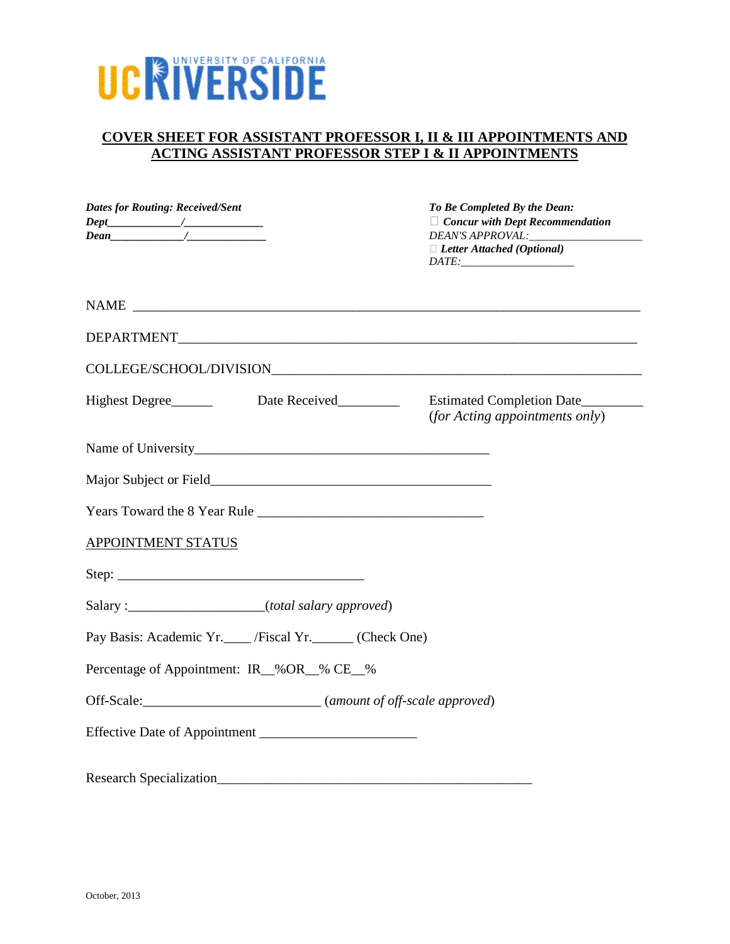# UCRIVERSIDE

# **COVER SHEET FOR ASSISTANT PROFESSOR I, II & III APPOINTMENTS AND ACTING ASSISTANT PROFESSOR STEP I & II APPOINTMENTS**

| <b>Dates for Routing: Received/Sent</b> |                                                      | To Be Completed By the Dean:<br>$\Box$ Concur with Dept Recommendation<br>$\Box$ Letter Attached (Optional)<br>$\hspace{0.0cm} \textit{DATE:} \textcolor{blue}{\overbrace{\hspace{0.05cm} \textbf{1.00}}\hspace{0.05cm} \textit{0.000}}$ |
|-----------------------------------------|------------------------------------------------------|------------------------------------------------------------------------------------------------------------------------------------------------------------------------------------------------------------------------------------------|
|                                         |                                                      |                                                                                                                                                                                                                                          |
|                                         |                                                      |                                                                                                                                                                                                                                          |
|                                         |                                                      |                                                                                                                                                                                                                                          |
|                                         | Highest Degree__________ Date Received__________     | Estimated Completion Date<br><i>(for Acting appointments only)</i>                                                                                                                                                                       |
|                                         |                                                      |                                                                                                                                                                                                                                          |
|                                         |                                                      |                                                                                                                                                                                                                                          |
|                                         |                                                      |                                                                                                                                                                                                                                          |
| <b>APPOINTMENT STATUS</b>               |                                                      |                                                                                                                                                                                                                                          |
|                                         | Step:                                                |                                                                                                                                                                                                                                          |
|                                         | Salary: _____________________(total salary approved) |                                                                                                                                                                                                                                          |
|                                         | Pay Basis: Academic Yr. / Fiscal Yr. (Check One)     |                                                                                                                                                                                                                                          |
|                                         | Percentage of Appointment: IR_%OR_% CE_%             |                                                                                                                                                                                                                                          |
|                                         |                                                      |                                                                                                                                                                                                                                          |
|                                         |                                                      |                                                                                                                                                                                                                                          |
|                                         |                                                      |                                                                                                                                                                                                                                          |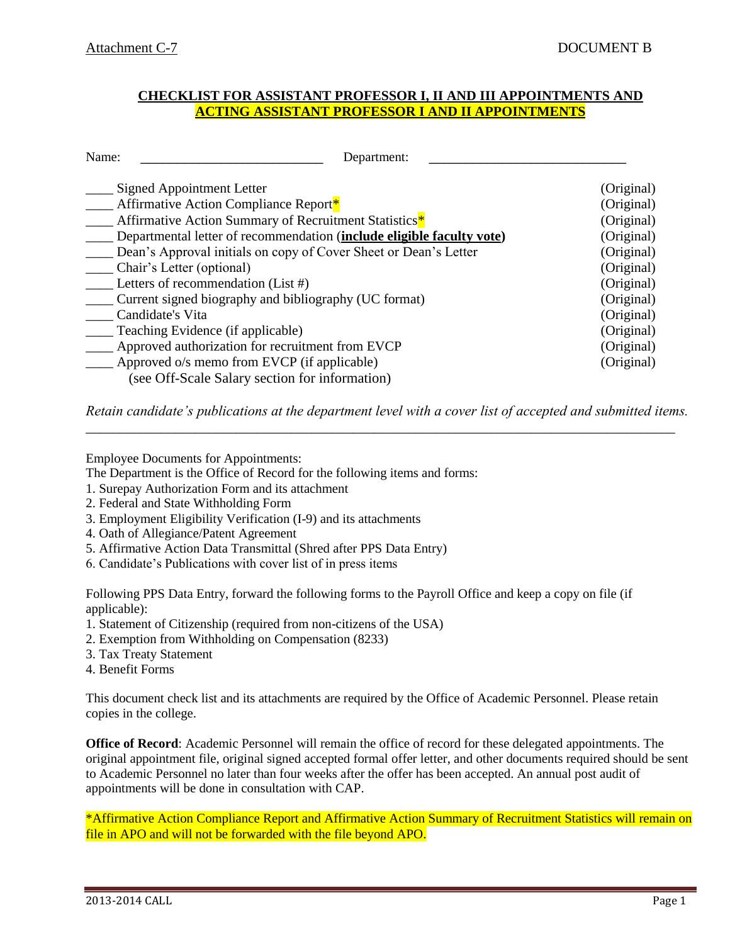### **CHECKLIST FOR ASSISTANT PROFESSOR I, II AND III APPOINTMENTS AND ACTING ASSISTANT PROFESSOR I AND II APPOINTMENTS**

| Name:                                                                 | Department: |            |
|-----------------------------------------------------------------------|-------------|------------|
| Signed Appointment Letter                                             |             | (Original) |
| Affirmative Action Compliance Report*                                 |             | (Original) |
| Affirmative Action Summary of Recruitment Statistics*                 |             | (Original) |
| Departmental letter of recommendation (include eligible faculty vote) |             | (Original) |
| Dean's Approval initials on copy of Cover Sheet or Dean's Letter      |             | (Original) |
| Chair's Letter (optional)                                             |             | (Original) |
| Letters of recommendation (List #)                                    |             | (Original) |
| Current signed biography and bibliography (UC format)                 |             | (Original) |
| Candidate's Vita                                                      |             | (Original) |
| Teaching Evidence (if applicable)                                     |             | (Original) |
| Approved authorization for recruitment from EVCP                      |             | (Original) |
| Approved o/s memo from EVCP (if applicable)                           |             | (Original) |
| (see Off-Scale Salary section for information)                        |             |            |

*Retain candidate's publications at the department level with a cover list of accepted and submitted items.*  \_\_\_\_\_\_\_\_\_\_\_\_\_\_\_\_\_\_\_\_\_\_\_\_\_\_\_\_\_\_\_\_\_\_\_\_\_\_\_\_\_\_\_\_\_\_\_\_\_\_\_\_\_\_\_\_\_\_\_\_\_\_\_\_\_\_\_\_\_\_\_\_\_\_\_\_\_\_\_\_\_\_\_\_\_\_

Employee Documents for Appointments:

The Department is the Office of Record for the following items and forms:

- 1. Surepay Authorization Form and its attachment
- 2. Federal and State Withholding Form
- 3. Employment Eligibility Verification (I-9) and its attachments
- 4. Oath of Allegiance/Patent Agreement
- 5. Affirmative Action Data Transmittal (Shred after PPS Data Entry)
- 6. Candidate's Publications with cover list of in press items

Following PPS Data Entry, forward the following forms to the Payroll Office and keep a copy on file (if applicable):

- 1. Statement of Citizenship (required from non-citizens of the USA)
- 2. Exemption from Withholding on Compensation (8233)
- 3. Tax Treaty Statement
- 4. Benefit Forms

This document check list and its attachments are required by the Office of Academic Personnel. Please retain copies in the college.

**Office of Record**: Academic Personnel will remain the office of record for these delegated appointments. The original appointment file, original signed accepted formal offer letter, and other documents required should be sent to Academic Personnel no later than four weeks after the offer has been accepted. An annual post audit of appointments will be done in consultation with CAP.

\*Affirmative Action Compliance Report and Affirmative Action Summary of Recruitment Statistics will remain on file in APO and will not be forwarded with the file beyond APO.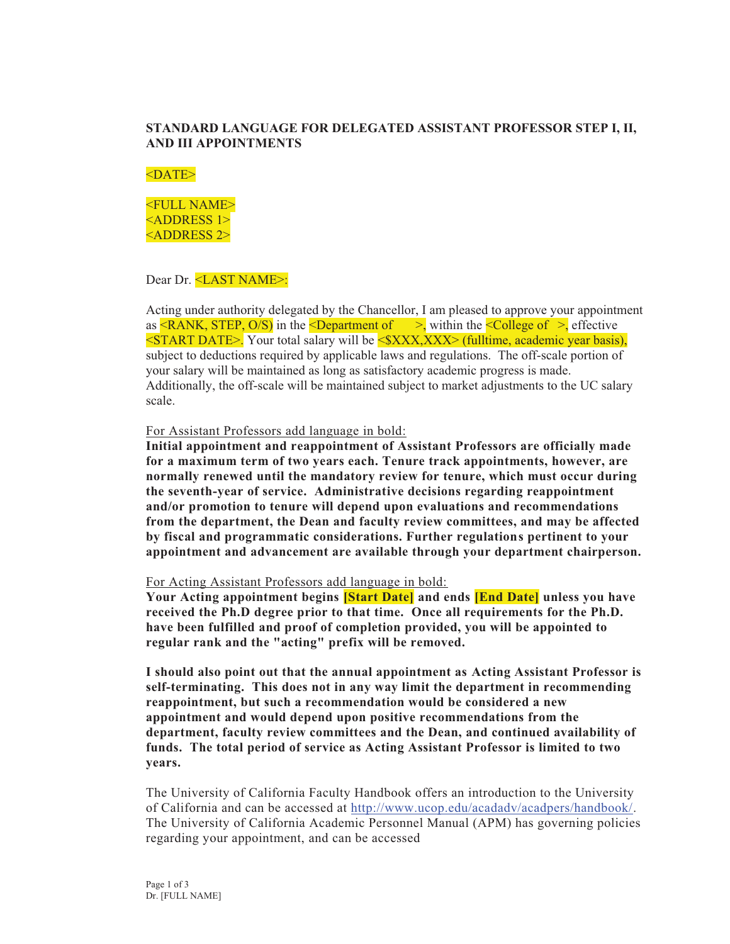#### **STANDARD LANGUAGE FOR DELEGATED ASSISTANT PROFESSOR STEP I, II, AND III APPOINTMENTS**

#### $<$ DATE $>$

<FULL NAME> <ADDRESS 1> <ADDRESS 2>

#### Dear Dr. <LAST NAME>:

Acting under authority delegated by the Chancellor, I am pleased to approve your appointment as  $\leq$ RANK, STEP, O/S) in the  $\leq$ Department of  $\geq$ , within the  $\leq$ College of  $\geq$ , effective  $\leq$ START DATE>. Your total salary will be  $\leq$ \$XXX,XXX> (fulltime, academic year basis), subject to deductions required by applicable laws and regulations. The off-scale portion of your salary will be maintained as long as satisfactory academic progress is made. Additionally, the off-scale will be maintained subject to market adjustments to the UC salary scale.

For Assistant Professors add language in bold:

**Initial appointment and reappointment of Assistant Professors are officially made for a maximum term of two years each. Tenure track appointments, however, are normally renewed until the mandatory review for tenure, which must occur during the seventh-year of service. Administrative decisions regarding reappointment and/or promotion to tenure will depend upon evaluations and recommendations from the department, the Dean and faculty review committees, and may be affected by fiscal and programmatic considerations. Further regulations pertinent to your appointment and advancement are available through your department chairperson.** 

#### For Acting Assistant Professors add language in bold:

**Your Acting appointment begins [Start Date] and ends [End Date] unless you have received the Ph.D degree prior to that time. Once all requirements for the Ph.D. have been fulfilled and proof of completion provided, you will be appointed to regular rank and the "acting" prefix will be removed.** 

**I should also point out that the annual appointment as Acting Assistant Professor is self-terminating. This does not in any way limit the department in recommending reappointment, but such a recommendation would be considered a new appointment and would depend upon positive recommendations from the department, faculty review committees and the Dean, and continued availability of funds. The total period of service as Acting Assistant Professor is limited to two years.** 

The University of California Faculty Handbook offers an introduction to the University of California and can be accessed at http://www.ucop.edu/acadadv/acadpers/handbook/. The University of California Academic Personnel Manual (APM) has governing policies regarding your appointment, and can be accessed

Page 1 of 3 Dr. [FULL NAME]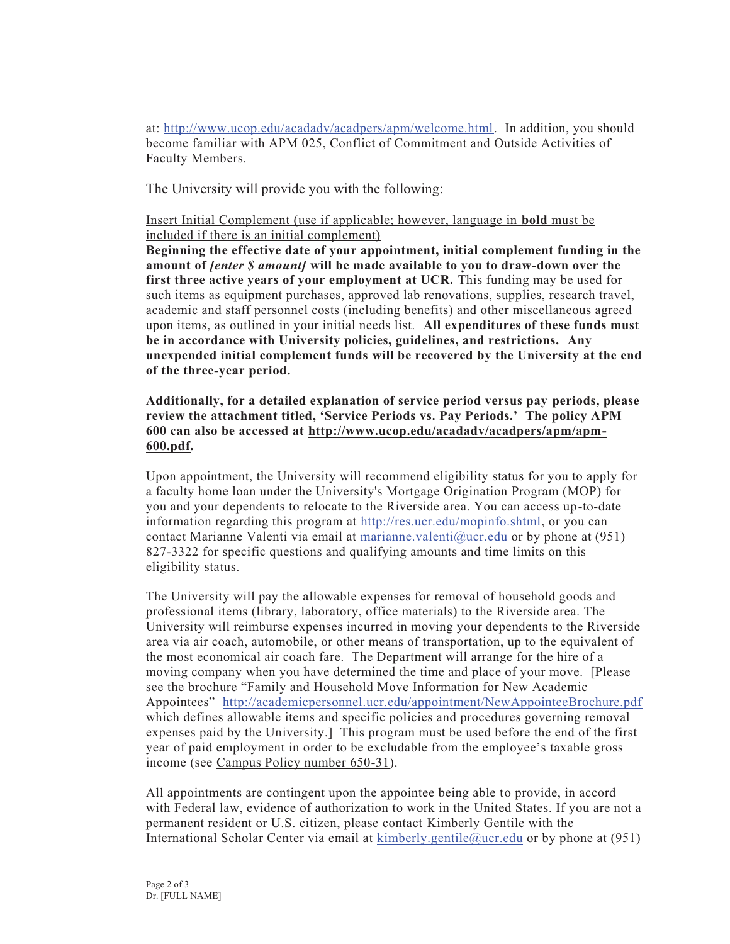at: http://www.ucop.edu/acadadv/acadpers/apm/welcome.html. In addition, you should become familiar with APM 025, Conflict of Commitment and Outside Activities of Faculty Members.

The University will provide you with the following:

Insert Initial Complement (use if applicable; however, language in **bold** must be included if there is an initial complement)

**Beginning the effective date of your appointment, initial complement funding in the amount of** *[enter \$ amount]* **will be made available to you to draw-down over the first three active years of your employment at UCR.** This funding may be used for such items as equipment purchases, approved lab renovations, supplies, research travel, academic and staff personnel costs (including benefits) and other miscellaneous agreed upon items, as outlined in your initial needs list. **All expenditures of these funds must be in accordance with University policies, guidelines, and restrictions. Any unexpended initial complement funds will be recovered by the University at the end of the three-year period.**

#### **Additionally, for a detailed explanation of service period versus pay periods, please review the attachment titled, 'Service Periods vs. Pay Periods.' The policy APM 600 can also be accessed at http://www.ucop.edu/acadadv/acadpers/apm/apm-600.pdf.**

Upon appointment, the University will recommend eligibility status for you to apply for a faculty home loan under the University's Mortgage Origination Program (MOP) for you and your dependents to relocate to the Riverside area. You can access up-to-date information regarding this program at http://res.ucr.edu/mopinfo.shtml, or you can contact Marianne Valenti via email at marianne.valenti@ucr.edu or by phone at  $(951)$ 827-3322 for specific questions and qualifying amounts and time limits on this eligibility status.

The University will pay the allowable expenses for removal of household goods and professional items (library, laboratory, office materials) to the Riverside area. The University will reimburse expenses incurred in moving your dependents to the Riverside area via air coach, automobile, or other means of transportation, up to the equivalent of the most economical air coach fare. The Department will arrange for the hire of a moving company when you have determined the time and place of your move. [Please see the brochure "Family and Household Move Information for New Academic Appointees" http://academicpersonnel.ucr.edu/appointment/NewAppointeeBrochure.pdf which defines allowable items and specific policies and procedures governing removal expenses paid by the University.] This program must be used before the end of the first year of paid employment in order to be excludable from the employee's taxable gross income (see Campus Policy number 650-31).

All appointments are contingent upon the appointee being able to provide, in accord with Federal law, evidence of authorization to work in the United States. If you are not a permanent resident or U.S. citizen, please contact Kimberly Gentile with the International Scholar Center via email at kimberly.gentile@ucr.edu or by phone at (951)

Page 2 of 3 Dr. [FULL NAME]